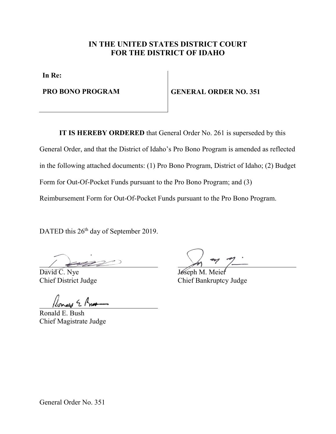# **IN THE UNITED STATES DISTRICT COURT FOR THE DISTRICT OF IDAHO**

**In Re:**

**PRO BONO PROGRAM GENERAL ORDER NO. 351** 

**IT IS HEREBY ORDERED** that General Order No. 261 is superseded by this General Order, and that the District of Idaho's Pro Bono Program is amended as reflected in the following attached documents: (1) Pro Bono Program, District of Idaho; (2) Budget Form for Out-Of-Pocket Funds pursuant to the Pro Bono Program; and (3) Reimbursement Form for Out-Of-Pocket Funds pursuant to the Pro Bono Program.

DATED this 26<sup>th</sup> day of September 2019.

David C. Nye Joseph M.

Ronald E. Bush Chief Magistrate Judge

Chief District Judge Chief Bankruptcy Judge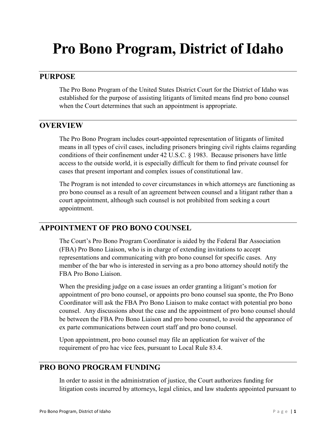# **Pro Bono Program, District of Idaho**

### **PURPOSE**

The Pro Bono Program of the United States District Court for the District of Idaho was established for the purpose of assisting litigants of limited means find pro bono counsel when the Court determines that such an appointment is appropriate.

# **OVERVIEW**

The Pro Bono Program includes court-appointed representation of litigants of limited means in all types of civil cases, including prisoners bringing civil rights claims regarding conditions of their confinement under 42 U.S.C. § 1983. Because prisoners have little access to the outside world, it is especially difficult for them to find private counsel for cases that present important and complex issues of constitutional law.

The Program is not intended to cover circumstances in which attorneys are functioning as pro bono counsel as a result of an agreement between counsel and a litigant rather than a court appointment, although such counsel is not prohibited from seeking a court appointment.

# **APPOINTMENT OF PRO BONO COUNSEL**

The Court's Pro Bono Program Coordinator is aided by the Federal Bar Association (FBA) Pro Bono Liaison, who is in charge of extending invitations to accept representations and communicating with pro bono counsel for specific cases. Any member of the bar who is interested in serving as a pro bono attorney should notify the FBA Pro Bono Liaison.

When the presiding judge on a case issues an order granting a litigant's motion for appointment of pro bono counsel, or appoints pro bono counsel sua sponte, the Pro Bono Coordinator will ask the FBA Pro Bono Liaison to make contact with potential pro bono counsel. Any discussions about the case and the appointment of pro bono counsel should be between the FBA Pro Bono Liaison and pro bono counsel, to avoid the appearance of ex parte communications between court staff and pro bono counsel.

Upon appointment, pro bono counsel may file an application for waiver of the requirement of pro hac vice fees, pursuant to Local Rule 83.4.

#### **PRO BONO PROGRAM FUNDING**

In order to assist in the administration of justice, the Court authorizes funding for litigation costs incurred by attorneys, legal clinics, and law students appointed pursuant to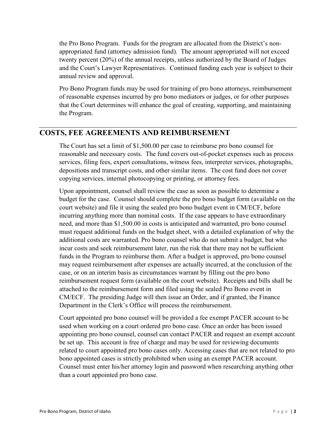the Pro Bono Program. Funds for the program are allocated from the District's nonappropriated fund (attorney admission fund). The amount appropriated will not exceed twenty percent (20%) of the annual receipts, unless authorized by the Board of Judges and the Court's Lawyer Representatives. Continued funding each year is subject to their annual review and approval.

Pro Bono Program funds may be used for training of pro bono attorneys, reimbursement of reasonable expenses incurred by pro bono mediators or judges, or for other purposes that the Court determines will enhance the goal of creating, supporting, and maintaining the Program.

#### **COSTS, FEE AGREEMENTS AND REIMBURSEMENT**

The Court has set a limit of \$1,500.00 per case to reimburse pro bono counsel for reasonable and necessary costs. The fund covers out-of-pocket expenses such as process services, filing fees, expert consultations, witness fees, interpreter services, photographs, depositions and transcript costs, and other similar items. The cost fund does not cover copying services, internal photocopying or printing, or attorney fees.

Upon appointment, counsel shall review the case as soon as possible to determine a budget for the case. Counsel should complete the pro bono budget form (available on the court website) and file it using the sealed pro bono budget event in CM/ECF, before incurring anything more than nominal costs. If the case appears to have extraordinary need, and more than \$1,500.00 in costs is anticipated and warranted, pro bono counsel must request additional funds on the budget sheet, with a detailed explanation of why the additional costs are warranted. Pro bono counsel who do not submit a budget, but who incur costs and seek reimbursement later, run the risk that there may not be sufficient funds in the Program to reimburse them. After a budget is approved, pro bono counsel may request reimbursement after expenses are actually incurred, at the conclusion of the case, or on an interim basis as circumstances warrant by filling out the pro bono reimbursement request form (available on the court website). Receipts and bills shall be attached to the reimbursement form and filed using the sealed Pro Bono event in CM/ECF. The presiding Judge will then issue an Order, and if granted, the Finance Department in the Clerk's Office will process the reimbursement.

Court appointed pro bono counsel will be provided a fee exempt PACER account to be used when working on a court ordered pro bono case. Once an order has been issued appointing pro bono counsel, counsel can contact PACER and request an exempt account be set up. This account is free of charge and may be used for reviewing documents related to court appointed pro bono cases only. Accessing cases that are not related to pro bono appointed cases is strictly prohibited when using an exempt PACER account. Counsel must enter his/her attorney login and password when researching anything other than a court appointed pro bono case.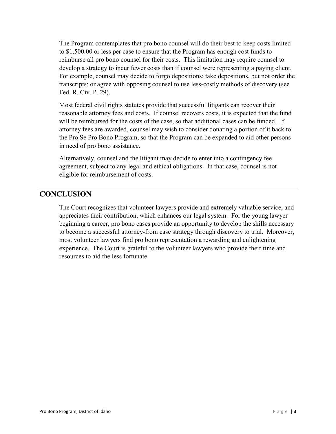The Program contemplates that pro bono counsel will do their best to keep costs limited to \$1,500.00 or less per case to ensure that the Program has enough cost funds to reimburse all pro bono counsel for their costs. This limitation may require counsel to develop a strategy to incur fewer costs than if counsel were representing a paying client. For example, counsel may decide to forgo depositions; take depositions, but not order the transcripts; or agree with opposing counsel to use less-costly methods of discovery (see Fed. R. Civ. P. 29).

Most federal civil rights statutes provide that successful litigants can recover their reasonable attorney fees and costs. If counsel recovers costs, it is expected that the fund will be reimbursed for the costs of the case, so that additional cases can be funded. If attorney fees are awarded, counsel may wish to consider donating a portion of it back to the Pro Se Pro Bono Program, so that the Program can be expanded to aid other persons in need of pro bono assistance.

Alternatively, counsel and the litigant may decide to enter into a contingency fee agreement, subject to any legal and ethical obligations. In that case, counsel is not eligible for reimbursement of costs.

#### **CONCLUSION**

The Court recognizes that volunteer lawyers provide and extremely valuable service, and appreciates their contribution, which enhances our legal system. For the young lawyer beginning a career, pro bono cases provide an opportunity to develop the skills necessary to become a successful attorney-from case strategy through discovery to trial. Moreover, most volunteer lawyers find pro bono representation a rewarding and enlightening experience. The Court is grateful to the volunteer lawyers who provide their time and resources to aid the less fortunate.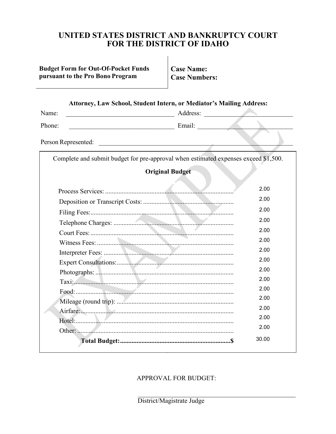# UNITED STATES DISTRICT AND BANKRUPTCY COURT FOR THE DISTRICT OF IDAHO

#### **Budget Form for Out-Of-Pocket Funds** pursuant to the Pro Bono Program

**Case Name: Case Numbers:** 

| Attorney, Law School, Student Intern, or Mediator's Mailing Address:                   |                        |       |
|----------------------------------------------------------------------------------------|------------------------|-------|
| Name:<br><u> 1989 - Johann Barbara, martxa amerikan personal (h. 1989).</u>            | Address:               |       |
| Phone:<br><u> 1980 - Johann Barn, margaret eta idazlea (</u>                           | Email:                 |       |
|                                                                                        |                        |       |
| Person Represented:<br><u> 1980 - Jan Barbara, margaret eta biztanleria (h. 1980).</u> |                        |       |
| Complete and submit budget for pre-approval when estimated expenses exceed \$1,500.    |                        |       |
|                                                                                        |                        |       |
|                                                                                        | <b>Original Budget</b> |       |
|                                                                                        |                        | 2.00  |
|                                                                                        |                        | 2.00  |
|                                                                                        |                        | 2.00  |
|                                                                                        |                        | 2.00  |
|                                                                                        |                        | 2.00  |
|                                                                                        |                        | 2.00  |
|                                                                                        |                        | 2.00  |
|                                                                                        |                        | 2.00  |
|                                                                                        |                        | 2.00  |
|                                                                                        |                        | 2.00  |
|                                                                                        |                        | 2.00  |
|                                                                                        |                        | 2.00  |
|                                                                                        |                        | 2.00  |
|                                                                                        |                        | 2.00  |
|                                                                                        |                        | 2.00  |
|                                                                                        |                        | 30.00 |

#### APPROVAL FOR BUDGET:

District/Magistrate Judge